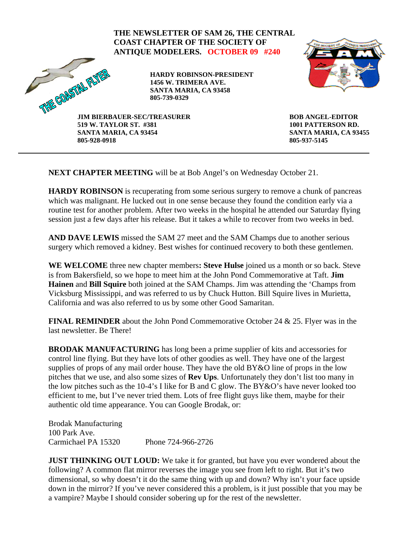## **THE NEWSLETTER OF SAM 26, THE CENTRAL COAST CHAPTER OF THE SOCIETY OF ANTIQUE MODELERS. OCTOBER 09 #240**  THRE COASTAL FLYPE **HARDY ROBINSON-PRESIDENT 1456 W. TRIMERA AVE. SANTA MARIA, CA 93458 805-739-0329 JIM BIERBAUER-SEC/TREASURER BOB ANGEL-EDITOR 1001 PATTERSON RD. 519 W. TAYLOR ST. #381 SANTA MARIA, CA 93454 SANTA MARIA, CA 93455 805-928-0918 805-937-5145**

**NEXT CHAPTER MEETING** will be at Bob Angel's on Wednesday October 21.

**HARDY ROBINSON** is recuperating from some serious surgery to remove a chunk of pancreas which was malignant. He lucked out in one sense because they found the condition early via a routine test for another problem. After two weeks in the hospital he attended our Saturday flying session just a few days after his release. But it takes a while to recover from two weeks in bed.

**AND DAVE LEWIS** missed the SAM 27 meet and the SAM Champs due to another serious surgery which removed a kidney. Best wishes for continued recovery to both these gentlemen.

**WE WELCOME** three new chapter members**: Steve Hulse** joined us a month or so back. Steve is from Bakersfield, so we hope to meet him at the John Pond Commemorative at Taft. **Jim Hainen** and **Bill Squire** both joined at the SAM Champs. Jim was attending the 'Champs from Vicksburg Mississippi, and was referred to us by Chuck Hutton. Bill Squire lives in Murietta, California and was also referred to us by some other Good Samaritan.

**FINAL REMINDER** about the John Pond Commemorative October 24 & 25. Flyer was in the last newsletter. Be There!

**BRODAK MANUFACTURING** has long been a prime supplier of kits and accessories for control line flying. But they have lots of other goodies as well. They have one of the largest supplies of props of any mail order house. They have the old BY&O line of props in the low pitches that we use, and also some sizes of **Rev Ups**. Unfortunately they don't list too many in the low pitches such as the 10-4's I like for B and C glow. The BY&O's have never looked too efficient to me, but I've never tried them. Lots of free flight guys like them, maybe for their authentic old time appearance. You can Google Brodak, or:

Brodak Manufacturing 100 Park Ave. Carmichael PA 15320 Phone 724-966-2726

**JUST THINKING OUT LOUD:** We take it for granted, but have you ever wondered about the following? A common flat mirror reverses the image you see from left to right. But it's two dimensional, so why doesn't it do the same thing with up and down? Why isn't your face upside down in the mirror? If you've never considered this a problem, is it just possible that you may be a vampire? Maybe I should consider sobering up for the rest of the newsletter.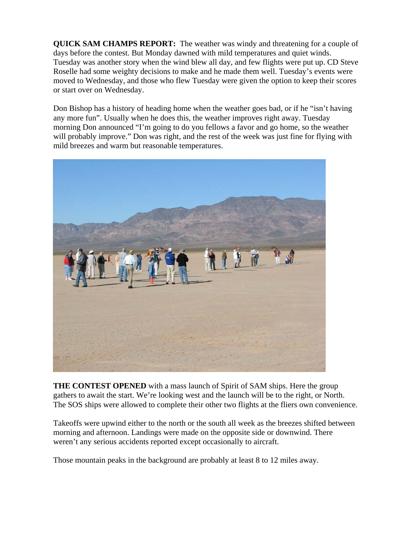**QUICK SAM CHAMPS REPORT:** The weather was windy and threatening for a couple of days before the contest. But Monday dawned with mild temperatures and quiet winds. Tuesday was another story when the wind blew all day, and few flights were put up. CD Steve Roselle had some weighty decisions to make and he made them well. Tuesday's events were moved to Wednesday, and those who flew Tuesday were given the option to keep their scores or start over on Wednesday.

Don Bishop has a history of heading home when the weather goes bad, or if he "isn't having any more fun". Usually when he does this, the weather improves right away. Tuesday morning Don announced "I'm going to do you fellows a favor and go home, so the weather will probably improve." Don was right, and the rest of the week was just fine for flying with mild breezes and warm but reasonable temperatures.



**THE CONTEST OPENED** with a mass launch of Spirit of SAM ships. Here the group gathers to await the start. We're looking west and the launch will be to the right, or North. The SOS ships were allowed to complete their other two flights at the fliers own convenience.

Takeoffs were upwind either to the north or the south all week as the breezes shifted between morning and afternoon. Landings were made on the opposite side or downwind. There weren't any serious accidents reported except occasionally to aircraft.

Those mountain peaks in the background are probably at least 8 to 12 miles away.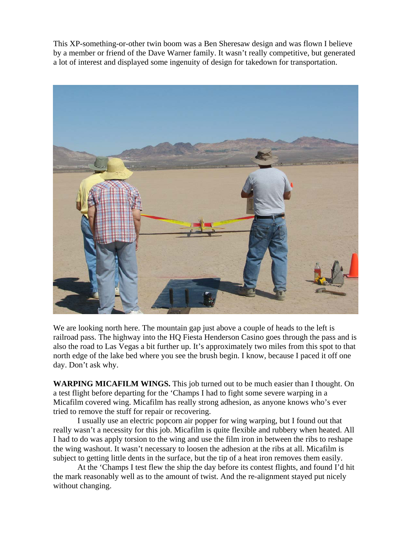This XP-something-or-other twin boom was a Ben Sheresaw design and was flown I believe by a member or friend of the Dave Warner family. It wasn't really competitive, but generated a lot of interest and displayed some ingenuity of design for takedown for transportation.



We are looking north here. The mountain gap just above a couple of heads to the left is railroad pass. The highway into the HQ Fiesta Henderson Casino goes through the pass and is also the road to Las Vegas a bit further up. It's approximately two miles from this spot to that north edge of the lake bed where you see the brush begin. I know, because I paced it off one day. Don't ask why.

**WARPING MICAFILM WINGS.** This job turned out to be much easier than I thought. On a test flight before departing for the 'Champs I had to fight some severe warping in a Micafilm covered wing. Micafilm has really strong adhesion, as anyone knows who's ever tried to remove the stuff for repair or recovering.

I usually use an electric popcorn air popper for wing warping, but I found out that really wasn't a necessity for this job. Micafilm is quite flexible and rubbery when heated. All I had to do was apply torsion to the wing and use the film iron in between the ribs to reshape the wing washout. It wasn't necessary to loosen the adhesion at the ribs at all. Micafilm is subject to getting little dents in the surface, but the tip of a heat iron removes them easily.

At the 'Champs I test flew the ship the day before its contest flights, and found I'd hit the mark reasonably well as to the amount of twist. And the re-alignment stayed put nicely without changing.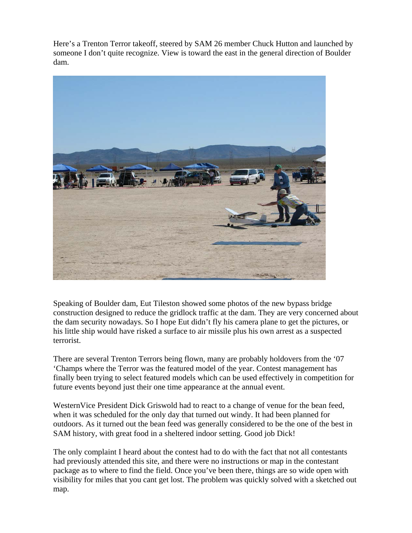Here's a Trenton Terror takeoff, steered by SAM 26 member Chuck Hutton and launched by someone I don't quite recognize. View is toward the east in the general direction of Boulder dam.



Speaking of Boulder dam, Eut Tileston showed some photos of the new bypass bridge construction designed to reduce the gridlock traffic at the dam. They are very concerned about the dam security nowadays. So I hope Eut didn't fly his camera plane to get the pictures, or his little ship would have risked a surface to air missile plus his own arrest as a suspected terrorist.

There are several Trenton Terrors being flown, many are probably holdovers from the '07 'Champs where the Terror was the featured model of the year. Contest management has finally been trying to select featured models which can be used effectively in competition for future events beyond just their one time appearance at the annual event.

WesternVice President Dick Griswold had to react to a change of venue for the bean feed, when it was scheduled for the only day that turned out windy. It had been planned for outdoors. As it turned out the bean feed was generally considered to be the one of the best in SAM history, with great food in a sheltered indoor setting. Good job Dick!

The only complaint I heard about the contest had to do with the fact that not all contestants had previously attended this site, and there were no instructions or map in the contestant package as to where to find the field. Once you've been there, things are so wide open with visibility for miles that you cant get lost. The problem was quickly solved with a sketched out map.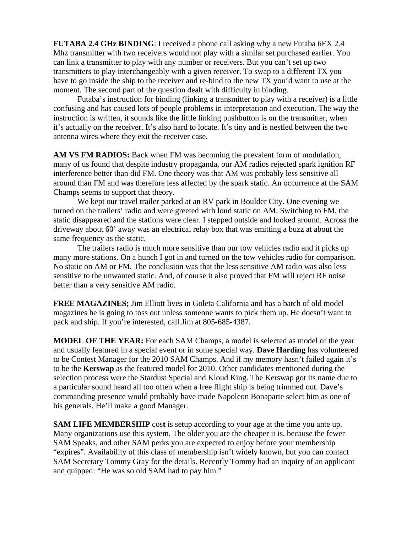**FUTABA 2.4 GHz BINDING**: I received a phone call asking why a new Futaba 6EX 2.4 Mhz transmitter with two receivers would not play with a similar set purchased earlier. You can link a transmitter to play with any number or receivers. But you can't set up two transmitters to play interchangeably with a given receiver. To swap to a different TX you have to go inside the ship to the receiver and re-bind to the new TX you'd want to use at the moment. The second part of the question dealt with difficulty in binding.

 Futaba's instruction for binding (linking a transmitter to play with a receiver) is a little confusing and has caused lots of people problems in interpretation and execution. The way the instruction is written, it sounds like the little linking pushbutton is on the transmitter, when it's actually on the receiver. It's also hard to locate. It's tiny and is nestled between the two antenna wires where they exit the receiver case.

**AM VS FM RADIOS:** Back when FM was becoming the prevalent form of modulation, many of us found that despite industry propaganda, our AM radios rejected spark ignition RF interference better than did FM. One theory was that AM was probably less sensitive all around than FM and was therefore less affected by the spark static. An occurrence at the SAM Champs seems to support that theory.

 We kept our travel trailer parked at an RV park in Boulder City. One evening we turned on the trailers' radio and were greeted with loud static on AM. Switching to FM, the static disappeared and the stations were clear. I stepped outside and looked around. Across the driveway about 60' away was an electrical relay box that was emitting a buzz at about the same frequency as the static.

 The trailers radio is much more sensitive than our tow vehicles radio and it picks up many more stations. On a hunch I got in and turned on the tow vehicles radio for comparison. No static on AM or FM. The conclusion was that the less sensitive AM radio was also less sensitive to the unwanted static. And, of course it also proved that FM will reject RF noise better than a very sensitive AM radio.

**FREE MAGAZINES;** Jim Elliott lives in Goleta California and has a batch of old model magazines he is going to toss out unless someone wants to pick them up. He doesn't want to pack and ship. If you're interested, call Jim at 805-685-4387.

**MODEL OF THE YEAR:** For each SAM Champs, a model is selected as model of the year and usually featured in a special event or in some special way. **Dave Harding** has volunteered to be Contest Manager for the 2010 SAM Champs. And if my memory hasn't failed again it's to be the **Kerswap** as the featured model for 2010. Other candidates mentioned during the selection process were the Stardust Special and Kloud King. The Kerswap got its name due to a particular sound heard all too often when a free flight ship is being trimmed out. Dave's commanding presence would probably have made Napoleon Bonaparte select him as one of his generals. He'll make a good Manager.

**SAM LIFE MEMBERSHIP** cos**t** is setup according to your age at the time you ante up. Many organizations use this system. The older you are the cheaper it is, because the fewer SAM Speaks, and other SAM perks you are expected to enjoy before your membership "expires". Availability of this class of membership isn't widely known, but you can contact SAM Secretary Tommy Gray for the details. Recently Tommy had an inquiry of an applicant and quipped: "He was so old SAM had to pay him."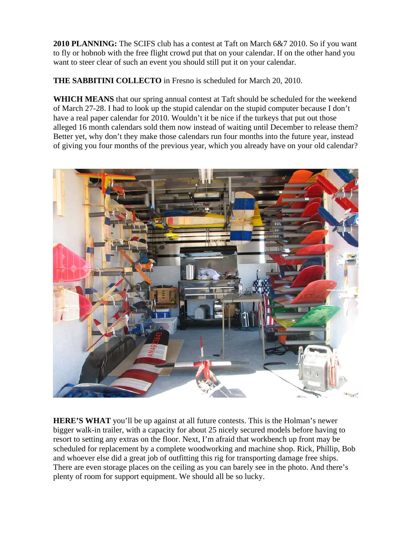**2010 PLANNING:** The SCIFS club has a contest at Taft on March 6&7 2010. So if you want to fly or hobnob with the free flight crowd put that on your calendar. If on the other hand you want to steer clear of such an event you should still put it on your calendar.

**THE SABBITINI COLLECTO** in Fresno is scheduled for March 20, 2010.

**WHICH MEANS** that our spring annual contest at Taft should be scheduled for the weekend of March 27-28. I had to look up the stupid calendar on the stupid computer because I don't have a real paper calendar for 2010. Wouldn't it be nice if the turkeys that put out those alleged 16 month calendars sold them now instead of waiting until December to release them? Better yet, why don't they make those calendars run four months into the future year, instead of giving you four months of the previous year, which you already have on your old calendar?



**HERE'S WHAT** you'll be up against at all future contests. This is the Holman's newer bigger walk-in trailer, with a capacity for about 25 nicely secured models before having to resort to setting any extras on the floor. Next, I'm afraid that workbench up front may be scheduled for replacement by a complete woodworking and machine shop. Rick, Phillip, Bob and whoever else did a great job of outfitting this rig for transporting damage free ships. There are even storage places on the ceiling as you can barely see in the photo. And there's plenty of room for support equipment. We should all be so lucky.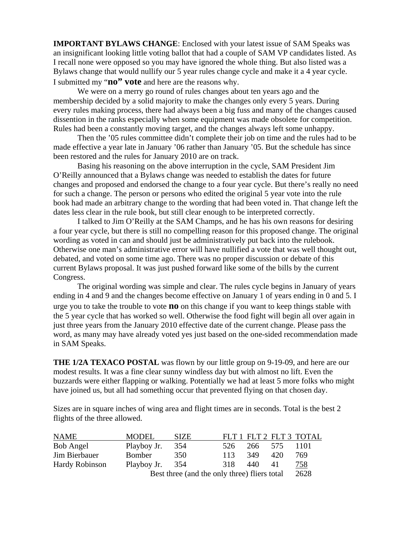**IMPORTANT BYLAWS CHANGE**: Enclosed with your latest issue of SAM Speaks was an insignificant looking little voting ballot that had a couple of SAM VP candidates listed. As I recall none were opposed so you may have ignored the whole thing. But also listed was a Bylaws change that would nullify our 5 year rules change cycle and make it a 4 year cycle. I submitted my "**no" vote** and here are the reasons why.

 We were on a merry go round of rules changes about ten years ago and the membership decided by a solid majority to make the changes only every 5 years. During every rules making process, there had always been a big fuss and many of the changes caused dissention in the ranks especially when some equipment was made obsolete for competition. Rules had been a constantly moving target, and the changes always left some unhappy.

 Then the '05 rules committee didn't complete their job on time and the rules had to be made effective a year late in January '06 rather than January '05. But the schedule has since been restored and the rules for January 2010 are on track.

 Basing his reasoning on the above interruption in the cycle, SAM President Jim O'Reilly announced that a Bylaws change was needed to establish the dates for future changes and proposed and endorsed the change to a four year cycle. But there's really no need for such a change. The person or persons who edited the original 5 year vote into the rule book had made an arbitrary change to the wording that had been voted in. That change left the dates less clear in the rule book, but still clear enough to be interpreted correctly.

 I talked to Jim O'Reilly at the SAM Champs, and he has his own reasons for desiring a four year cycle, but there is still no compelling reason for this proposed change. The original wording as voted in can and should just be administratively put back into the rulebook. Otherwise one man's administrative error will have nullified a vote that was well thought out, debated, and voted on some time ago. There was no proper discussion or debate of this current Bylaws proposal. It was just pushed forward like some of the bills by the current Congress.

 The original wording was simple and clear. The rules cycle begins in January of years ending in 4 and 9 and the changes become effective on January 1 of years ending in 0 and 5. I urge you to take the trouble to vote **no** on this change if you want to keep things stable with the 5 year cycle that has worked so well. Otherwise the food fight will begin all over again in just three years from the January 2010 effective date of the current change. Please pass the word, as many may have already voted yes just based on the one-sided recommendation made in SAM Speaks.

**THE 1/2A TEXACO POSTAL** was flown by our little group on 9-19-09, and here are our modest results. It was a fine clear sunny windless day but with almost no lift. Even the buzzards were either flapping or walking. Potentially we had at least 5 more folks who might have joined us, but all had something occur that prevented flying on that chosen day.

| <b>NAME</b>           | <b>MODEL</b>                                 | <b>SIZE</b> |      |     |     | FLT 1 FLT 2 FLT 3 TOTAL |
|-----------------------|----------------------------------------------|-------------|------|-----|-----|-------------------------|
| Bob Angel             | Playboy Jr.                                  | 354         | 526  | 266 | 575 | 1101                    |
| Jim Bierbauer         | Bomber                                       | 350         | 113  | 349 | 420 | 769                     |
| <b>Hardy Robinson</b> | Playboy Jr. 354                              |             | 318  | 440 | 41  | <u>758</u>              |
|                       | Best three (and the only three) fliers total |             | 2628 |     |     |                         |

Sizes are in square inches of wing area and flight times are in seconds. Total is the best 2 flights of the three allowed.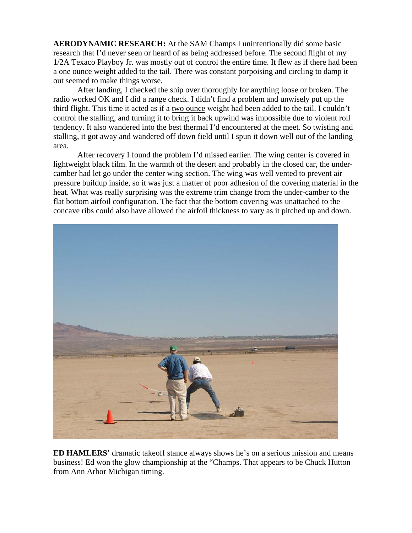**AERODYNAMIC RESEARCH:** At the SAM Champs I unintentionally did some basic research that I'd never seen or heard of as being addressed before. The second flight of my 1/2A Texaco Playboy Jr. was mostly out of control the entire time. It flew as if there had been a one ounce weight added to the tail. There was constant porpoising and circling to damp it out seemed to make things worse.

 After landing, I checked the ship over thoroughly for anything loose or broken. The radio worked OK and I did a range check. I didn't find a problem and unwisely put up the third flight. This time it acted as if a two ounce weight had been added to the tail. I couldn't control the stalling, and turning it to bring it back upwind was impossible due to violent roll tendency. It also wandered into the best thermal I'd encountered at the meet. So twisting and stalling, it got away and wandered off down field until I spun it down well out of the landing area.

 After recovery I found the problem I'd missed earlier. The wing center is covered in lightweight black film. In the warmth of the desert and probably in the closed car, the undercamber had let go under the center wing section. The wing was well vented to prevent air pressure buildup inside, so it was just a matter of poor adhesion of the covering material in the heat. What was really surprising was the extreme trim change from the under-camber to the flat bottom airfoil configuration. The fact that the bottom covering was unattached to the concave ribs could also have allowed the airfoil thickness to vary as it pitched up and down.



**ED HAMLERS'** dramatic takeoff stance always shows he's on a serious mission and means business! Ed won the glow championship at the "Champs. That appears to be Chuck Hutton from Ann Arbor Michigan timing.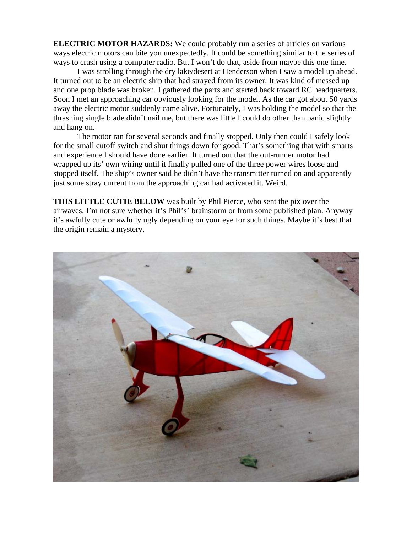**ELECTRIC MOTOR HAZARDS:** We could probably run a series of articles on various ways electric motors can bite you unexpectedly. It could be something similar to the series of ways to crash using a computer radio. But I won't do that, aside from maybe this one time.

I was strolling through the dry lake/desert at Henderson when I saw a model up ahead. It turned out to be an electric ship that had strayed from its owner. It was kind of messed up and one prop blade was broken. I gathered the parts and started back toward RC headquarters. Soon I met an approaching car obviously looking for the model. As the car got about 50 yards away the electric motor suddenly came alive. Fortunately, I was holding the model so that the thrashing single blade didn't nail me, but there was little I could do other than panic slightly and hang on.

The motor ran for several seconds and finally stopped. Only then could I safely look for the small cutoff switch and shut things down for good. That's something that with smarts and experience I should have done earlier. It turned out that the out-runner motor had wrapped up its' own wiring until it finally pulled one of the three power wires loose and stopped itself. The ship's owner said he didn't have the transmitter turned on and apparently just some stray current from the approaching car had activated it. Weird.

**THIS LITTLE CUTIE BELOW** was built by Phil Pierce, who sent the pix over the airwaves. I'm not sure whether it's Phil's' brainstorm or from some published plan. Anyway it's awfully cute or awfully ugly depending on your eye for such things. Maybe it's best that the origin remain a mystery.